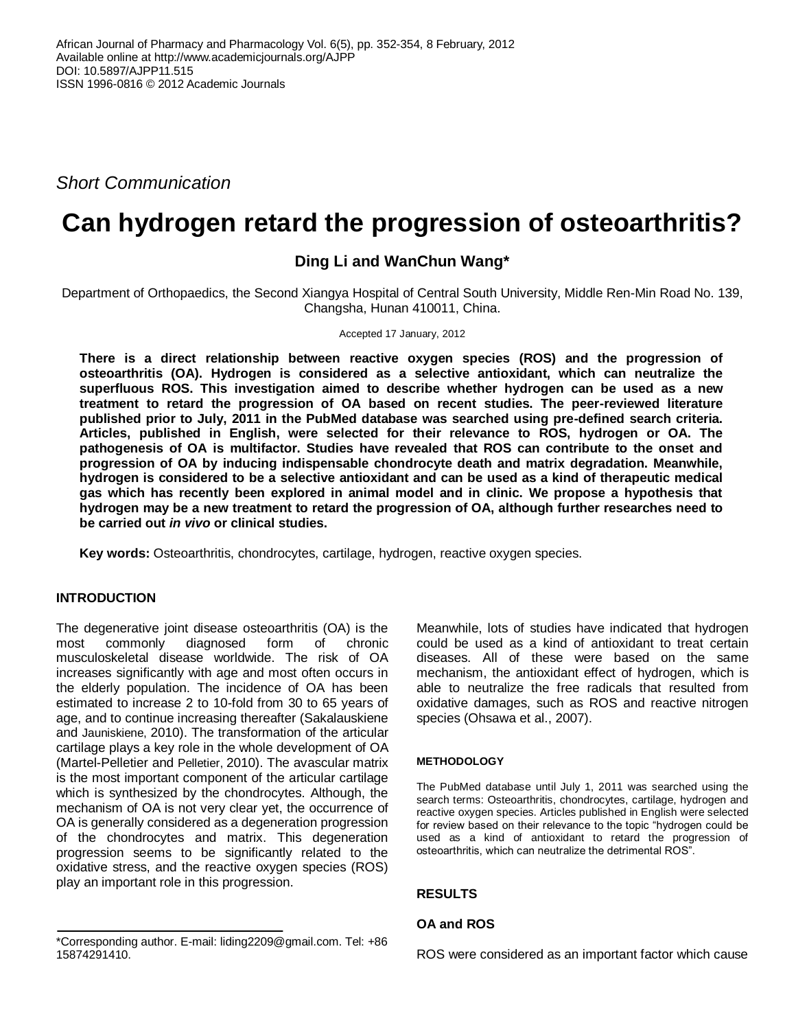*Short Communication*

# **Can hydrogen retard the progression of osteoarthritis?**

## **Ding Li and WanChun Wang\***

Department of Orthopaedics, the Second Xiangya Hospital of Central South University, Middle Ren-Min Road No. 139, Changsha, Hunan 410011, China.

Accepted 17 January, 2012

**There is a direct relationship between reactive oxygen species (ROS) and the progression of osteoarthritis (OA). Hydrogen is considered as a selective antioxidant, which can neutralize the superfluous ROS. This investigation aimed to describe whether hydrogen can be used as a new treatment to retard the progression of OA based on recent studies. The peer-reviewed literature published prior to July, 2011 in the PubMed database was searched using pre-defined search criteria. Articles, published in English, were selected for their relevance to ROS, hydrogen or OA. The pathogenesis of OA is multifactor. Studies have revealed that ROS can contribute to the onset and progression of OA by inducing indispensable chondrocyte death and matrix degradation. Meanwhile, hydrogen is considered to be a selective antioxidant and can be used as a kind of therapeutic medical gas which has recently been explored in animal model and in clinic. We propose a hypothesis that hydrogen may be a new treatment to retard the progression of OA, although further researches need to be carried out** *in vivo* **or clinical studies.**

**Key words:** Osteoarthritis, chondrocytes, cartilage, hydrogen, reactive oxygen species.

#### **INTRODUCTION**

The degenerative joint disease osteoarthritis (OA) is the most commonly diagnosed form of chronic musculoskeletal disease worldwide. The risk of OA increases significantly with age and most often occurs in the elderly population. The incidence of OA has been estimated to increase 2 to 10-fold from 30 to 65 years of age, and to continue increasing thereafter (Sakalauskiene and Jauniskiene, 2010). The transformation of the articular cartilage plays a key role in the whole development of OA (Martel-Pelletier and Pelletier, 2010). The avascular matrix is the most important component of the articular cartilage which is synthesized by the chondrocytes. Although, the mechanism of OA is not very clear yet, the occurrence of OA is generally considered as a degeneration progression of the chondrocytes and matrix. This degeneration progression seems to be significantly related to the oxidative stress, and the reactive oxygen species (ROS) play an important role in this progression.

Meanwhile, lots of studies have indicated that hydrogen could be used as a kind of antioxidant to treat certain diseases. All of these were based on the same mechanism, the antioxidant effect of hydrogen, which is able to neutralize the free radicals that resulted from oxidative damages, such as ROS and reactive nitrogen species (Ohsawa et al., 2007).

#### **METHODOLOGY**

The PubMed database until July 1, 2011 was searched using the search terms: Osteoarthritis, chondrocytes, cartilage, hydrogen and reactive oxygen species. Articles published in English were selected for review based on their relevance to the topic "hydrogen could be used as a kind of antioxidant to retard the progression of osteoarthritis, which can neutralize the detrimental ROS".

#### **RESULTS**

#### **OA and ROS**

ROS were considered as an important factor which cause

<sup>\*</sup>Corresponding author. E-mail: liding2209@gmail.com. Tel: +86 15874291410.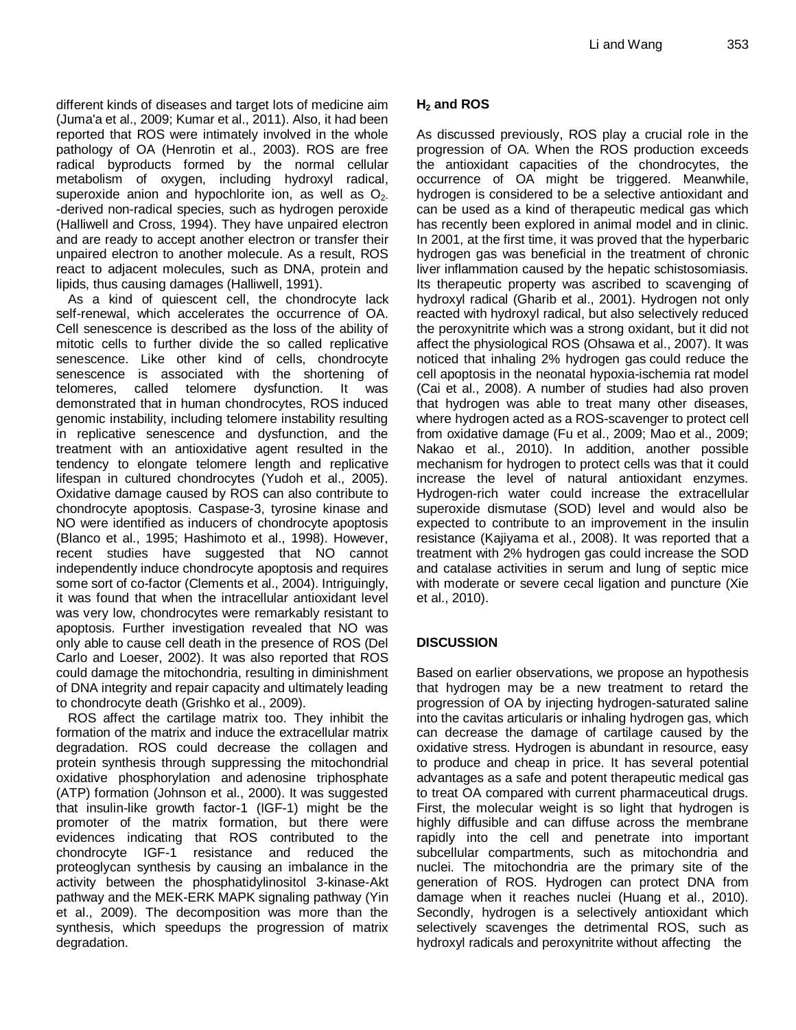different kinds of diseases and target lots of medicine aim (Juma'a et al., 2009; Kumar et al., 2011). Also, it had been reported that ROS were intimately involved in the whole pathology of OA (Henrotin et al., 2003). ROS are free radical byproducts formed by the normal cellular metabolism of oxygen, including hydroxyl radical, superoxide anion and hypochlorite ion, as well as  $O<sub>2</sub>$ . -derived non-radical species, such as hydrogen peroxide (Halliwell and Cross, 1994). They have unpaired electron and are ready to accept another electron or transfer their unpaired electron to another molecule. As a result, ROS react to adjacent molecules, such as DNA, protein and lipids, thus causing damages (Halliwell, 1991).

As a kind of quiescent cell, the chondrocyte lack self-renewal, which accelerates the occurrence of OA. Cell senescence is described as the loss of the ability of mitotic cells to further divide the so called replicative senescence. Like other kind of cells, chondrocyte senescence is associated with the shortening of telomeres, called telomere dysfunction. It was demonstrated that in human chondrocytes, ROS induced genomic instability, including telomere instability resulting in replicative senescence and dysfunction, and the treatment with an antioxidative agent resulted in the tendency to elongate telomere length and replicative lifespan in cultured chondrocytes (Yudoh et al., 2005). Oxidative damage caused by ROS can also contribute to chondrocyte apoptosis. Caspase-3, tyrosine kinase and NO were identified as inducers of chondrocyte apoptosis (Blanco et al., 1995; Hashimoto et al., 1998). However, recent studies have suggested that NO cannot independently induce chondrocyte apoptosis and requires some sort of co-factor (Clements et al., 2004). Intriguingly, it was found that when the intracellular antioxidant level was very low, chondrocytes were remarkably resistant to apoptosis. Further investigation revealed that NO was only able to cause cell death in the presence of ROS (Del Carlo and Loeser, 2002). It was also reported that ROS could damage the mitochondria, resulting in diminishment of DNA integrity and repair capacity and ultimately leading to chondrocyte death (Grishko et al., 2009).

ROS affect the cartilage matrix too. They inhibit the formation of the matrix and induce the extracellular matrix degradation. ROS could decrease the collagen and protein synthesis through suppressing the mitochondrial oxidative phosphorylation and adenosine triphosphate (ATP) formation (Johnson et al., 2000). It was suggested that insulin-like growth factor-1 (IGF-1) might be the promoter of the matrix formation, but there were evidences indicating that ROS contributed to the chondrocyte IGF-1 resistance and reduced the proteoglycan synthesis by causing an imbalance in the activity between the phosphatidylinositol 3-kinase-Akt pathway and the MEK-ERK MAPK signaling pathway (Yin et al., 2009). The decomposition was more than the synthesis, which speedups the progression of matrix degradation.

### **H<sup>2</sup> and ROS**

As discussed previously, ROS play a crucial role in the progression of OA. When the ROS production exceeds the antioxidant capacities of the chondrocytes, the occurrence of OA might be triggered. Meanwhile, hydrogen is considered to be a selective antioxidant and can be used as a kind of therapeutic medical gas which has recently been explored in animal model and in clinic. In 2001, at the first time, it was proved that the hyperbaric hydrogen gas was beneficial in the treatment of chronic liver inflammation caused by the hepatic schistosomiasis. Its therapeutic property was ascribed to scavenging of hydroxyl radical (Gharib et al., 2001). Hydrogen not only reacted with hydroxyl radical, but also selectively reduced the peroxynitrite which was a strong oxidant, but it did not affect the physiological ROS (Ohsawa et al., 2007). It was noticed that inhaling 2% hydrogen gas could reduce the cell apoptosis in the neonatal hypoxia-ischemia rat model (Cai et al., 2008). A number of studies had also proven that hydrogen was able to treat many other diseases, where hydrogen acted as a ROS-scavenger to protect cell from oxidative damage (Fu et al., 2009; Mao et al., 2009; Nakao et al., 2010). In addition, another possible mechanism for hydrogen to protect cells was that it could increase the level of natural antioxidant enzymes. Hydrogen-rich water could increase the extracellular superoxide dismutase (SOD) level and would also be expected to contribute to an improvement in the insulin resistance (Kajiyama et al., 2008). It was reported that a treatment with 2% hydrogen gas could increase the SOD and catalase activities in serum and lung of septic mice with moderate or severe cecal ligation and puncture (Xie et al., 2010).

#### **DISCUSSION**

Based on earlier observations, we propose an hypothesis that hydrogen may be a new treatment to retard the progression of OA by injecting hydrogen-saturated saline into the cavitas articularis or inhaling hydrogen gas, which can decrease the damage of cartilage caused by the oxidative stress. Hydrogen is abundant in resource, easy to produce and cheap in price. It has several potential advantages as a safe and potent therapeutic medical gas to treat OA compared with current pharmaceutical drugs. First, the molecular weight is so light that hydrogen is highly diffusible and can diffuse across the membrane rapidly into the cell and penetrate into important subcellular compartments, such as mitochondria and nuclei. The mitochondria are the primary site of the generation of ROS. Hydrogen can protect DNA from damage when it reaches nuclei (Huang et al., 2010). Secondly, hydrogen is a selectively antioxidant which selectively scavenges the detrimental ROS, such as hydroxyl radicals and peroxynitrite without affecting the